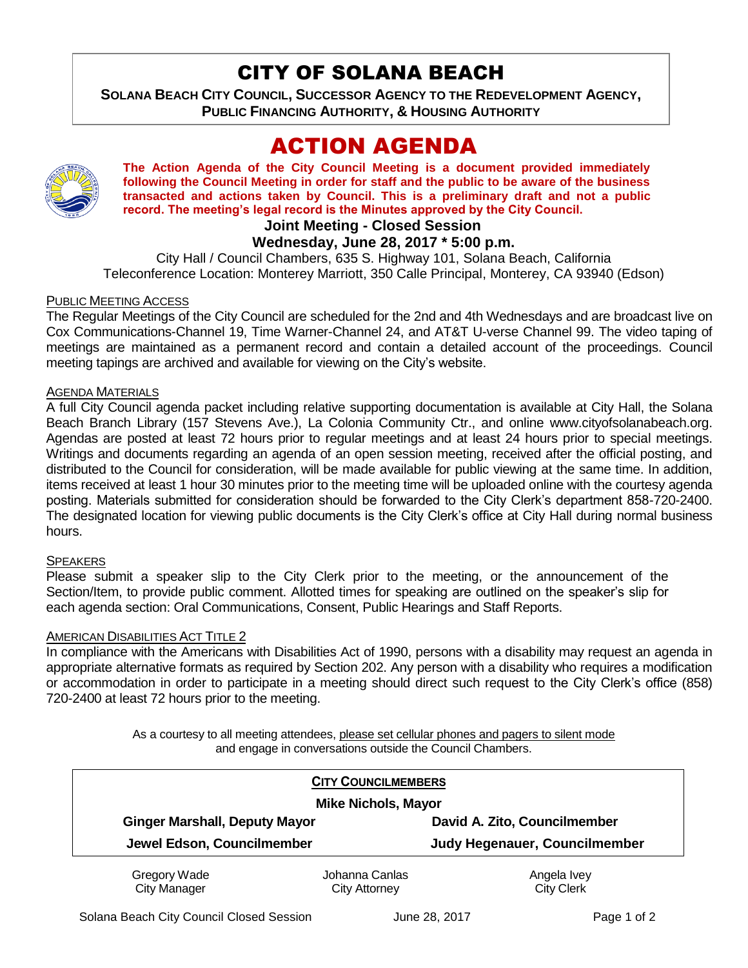# CITY OF SOLANA BEACH

**SOLANA BEACH CITY COUNCIL, SUCCESSOR AGENCY TO THE REDEVELOPMENT AGENCY, PUBLIC FINANCING AUTHORITY, & HOUSING AUTHORITY** 

# ACTION AGENDA



**The Action Agenda of the City Council Meeting is a document provided immediately following the Council Meeting in order for staff and the public to be aware of the business transacted and actions taken by Council. This is a preliminary draft and not a public record. The meeting's legal record is the Minutes approved by the City Council.**

# **Joint Meeting - Closed Session**

## **Wednesday, June 28, 2017 \* 5:00 p.m.**

City Hall / Council Chambers, 635 S. Highway 101, Solana Beach, California Teleconference Location: Monterey Marriott, 350 Calle Principal, Monterey, CA 93940 (Edson)

#### PUBLIC MEETING ACCESS

The Regular Meetings of the City Council are scheduled for the 2nd and 4th Wednesdays and are broadcast live on Cox Communications-Channel 19, Time Warner-Channel 24, and AT&T U-verse Channel 99. The video taping of meetings are maintained as a permanent record and contain a detailed account of the proceedings. Council meeting tapings are archived and available for viewing on the City's website.

#### AGENDA MATERIALS

A full City Council agenda packet including relative supporting documentation is available at City Hall, the Solana Beach Branch Library (157 Stevens Ave.), La Colonia Community Ctr., and online www.cityofsolanabeach.org. Agendas are posted at least 72 hours prior to regular meetings and at least 24 hours prior to special meetings. Writings and documents regarding an agenda of an open session meeting, received after the official posting, and distributed to the Council for consideration, will be made available for public viewing at the same time. In addition, items received at least 1 hour 30 minutes prior to the meeting time will be uploaded online with the courtesy agenda posting. Materials submitted for consideration should be forwarded to the City Clerk's department 858-720-2400. The designated location for viewing public documents is the City Clerk's office at City Hall during normal business hours.

#### **SPEAKERS**

Please submit a speaker slip to the City Clerk prior to the meeting, or the announcement of the Section/Item, to provide public comment. Allotted times for speaking are outlined on the speaker's slip for each agenda section: Oral Communications, Consent, Public Hearings and Staff Reports.

#### AMERICAN DISABILITIES ACT TITLE 2

In compliance with the Americans with Disabilities Act of 1990, persons with a disability may request an agenda in appropriate alternative formats as required by Section 202. Any person with a disability who requires a modification or accommodation in order to participate in a meeting should direct such request to the City Clerk's office (858) 720-2400 at least 72 hours prior to the meeting.

> As a courtesy to all meeting attendees, please set cellular phones and pagers to silent mode and engage in conversations outside the Council Chambers.

| <b>CITY COUNCILMEMBERS</b><br><b>Mike Nichols, Mayor</b> |                |                               |
|----------------------------------------------------------|----------------|-------------------------------|
|                                                          |                |                               |
| Jewel Edson, Councilmember                               |                | Judy Hegenauer, Councilmember |
| Gregory Wade                                             | Johanna Canlas | Angela Ivey                   |
| <b>City Manager</b>                                      | City Attorney  | <b>City Clerk</b>             |